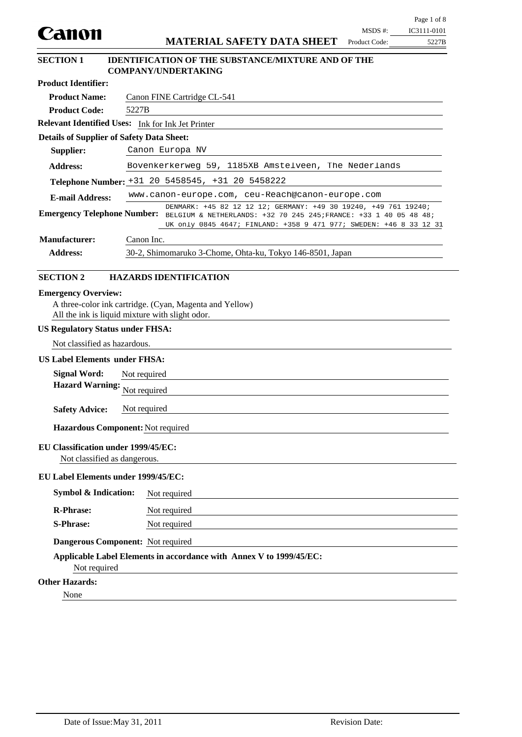|                                                                                                                                                                                                                                              |                                              |                                                                                                                                                                                                                                        |                            | Page 1 of 8          |  |  |  |
|----------------------------------------------------------------------------------------------------------------------------------------------------------------------------------------------------------------------------------------------|----------------------------------------------|----------------------------------------------------------------------------------------------------------------------------------------------------------------------------------------------------------------------------------------|----------------------------|----------------------|--|--|--|
| Canon                                                                                                                                                                                                                                        |                                              | <b>MATERIAL SAFETY DATA SHEET</b>                                                                                                                                                                                                      | $MSDS$ #:<br>Product Code: | IC3111-0101<br>5227B |  |  |  |
|                                                                                                                                                                                                                                              |                                              |                                                                                                                                                                                                                                        |                            |                      |  |  |  |
| <b>SECTION 1</b>                                                                                                                                                                                                                             |                                              | <b>IDENTIFICATION OF THE SUBSTANCE/MIXTURE AND OF THE</b><br><b>COMPANY/UNDERTAKING</b>                                                                                                                                                |                            |                      |  |  |  |
| <b>Product Identifier:</b>                                                                                                                                                                                                                   |                                              |                                                                                                                                                                                                                                        |                            |                      |  |  |  |
| <b>Product Name:</b>                                                                                                                                                                                                                         |                                              | Canon FINE Cartridge CL-541                                                                                                                                                                                                            |                            |                      |  |  |  |
| <b>Product Code:</b>                                                                                                                                                                                                                         | 5227B                                        |                                                                                                                                                                                                                                        |                            |                      |  |  |  |
| Relevant Identified Uses: Ink for Ink Jet Printer                                                                                                                                                                                            |                                              |                                                                                                                                                                                                                                        |                            |                      |  |  |  |
| <b>Details of Supplier of Safety Data Sheet:</b>                                                                                                                                                                                             |                                              |                                                                                                                                                                                                                                        |                            |                      |  |  |  |
| Supplier:                                                                                                                                                                                                                                    |                                              | Canon Europa NV                                                                                                                                                                                                                        |                            |                      |  |  |  |
| <b>Address:</b>                                                                                                                                                                                                                              |                                              | Bovenkerkerweg 59, 1185XB Amstelveen, The Nederlands                                                                                                                                                                                   |                            |                      |  |  |  |
|                                                                                                                                                                                                                                              |                                              | Telephone Number: +31 20 5458545, +31 20 5458222                                                                                                                                                                                       |                            |                      |  |  |  |
| <b>E-mail Address:</b>                                                                                                                                                                                                                       |                                              | www.canon-europe.com, ceu-Reach@canon-europe.com                                                                                                                                                                                       |                            |                      |  |  |  |
|                                                                                                                                                                                                                                              |                                              | DENMARK: +45 82 12 12 12; GERMANY: +49 30 19240, +49 761 19240;<br>Emergency Telephone Number: BELGIUM & NETHERLANDS: +32 70 245 245; FRANCE: +33 1 40 05 48 48;<br>UK only 0845 4647; FINLAND: +358 9 471 977; SWEDEN: +46 8 33 12 31 |                            |                      |  |  |  |
| <b>Manufacturer:</b>                                                                                                                                                                                                                         | Canon Inc.                                   |                                                                                                                                                                                                                                        |                            |                      |  |  |  |
| <b>Address:</b>                                                                                                                                                                                                                              |                                              | 30-2, Shimomaruko 3-Chome, Ohta-ku, Tokyo 146-8501, Japan                                                                                                                                                                              |                            |                      |  |  |  |
| All the ink is liquid mixture with slight odor.<br><b>US Regulatory Status under FHSA:</b><br>Not classified as hazardous.<br><b>US Label Elements under FHSA:</b><br><b>Signal Word:</b><br><b>Hazard Warning:</b><br><b>Safety Advice:</b> | Not required<br>Not required<br>Not required |                                                                                                                                                                                                                                        |                            |                      |  |  |  |
| Hazardous Component: Not required                                                                                                                                                                                                            |                                              |                                                                                                                                                                                                                                        |                            |                      |  |  |  |
| EU Classification under 1999/45/EC:<br>Not classified as dangerous.                                                                                                                                                                          |                                              |                                                                                                                                                                                                                                        |                            |                      |  |  |  |
| EU Label Elements under 1999/45/EC:                                                                                                                                                                                                          |                                              |                                                                                                                                                                                                                                        |                            |                      |  |  |  |
| <b>Symbol &amp; Indication:</b>                                                                                                                                                                                                              |                                              | Not required                                                                                                                                                                                                                           |                            |                      |  |  |  |
| <b>R-Phrase:</b>                                                                                                                                                                                                                             |                                              | Not required                                                                                                                                                                                                                           |                            |                      |  |  |  |
| <b>S-Phrase:</b>                                                                                                                                                                                                                             | Not required                                 |                                                                                                                                                                                                                                        |                            |                      |  |  |  |
| Dangerous Component: Not required                                                                                                                                                                                                            |                                              |                                                                                                                                                                                                                                        |                            |                      |  |  |  |
| Not required                                                                                                                                                                                                                                 |                                              | Applicable Label Elements in accordance with Annex V to 1999/45/EC:                                                                                                                                                                    |                            |                      |  |  |  |
| <b>Other Hazards:</b>                                                                                                                                                                                                                        |                                              |                                                                                                                                                                                                                                        |                            |                      |  |  |  |
| None                                                                                                                                                                                                                                         |                                              |                                                                                                                                                                                                                                        |                            |                      |  |  |  |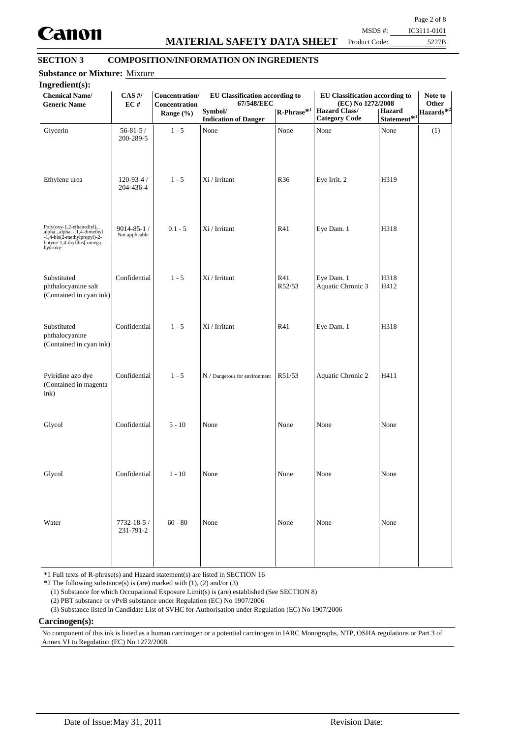

## **MATERIAL SAFETY DATA SHEET**

Page 2 of 8

Product Code:

5227B MSDS #: IC3111-0101

## **SECTION 3 COMPOSITION/INFORMATION ON INGREDIENTS**

| EC#                                | Concentration<br>Range $(\% )$ | Concentration/<br>EU Classification according to<br>67/548/EEC<br>Symbol/ | $\mathbf{R}\text{-Phrase}^{*1}$ | EU Classification according to<br>(EC) No 1272/2008<br><b>Hazard Class/</b> | <b>Hazard</b>        | Other<br>Hazards* <sup>2</sup> |
|------------------------------------|--------------------------------|---------------------------------------------------------------------------|---------------------------------|-----------------------------------------------------------------------------|----------------------|--------------------------------|
| $56 - 81 - 5/$<br>200-289-5        | $1 - 5$                        | None                                                                      | None                            | None                                                                        | None                 | (1)                            |
| $120 - 93 - 4/$<br>204-436-4       | $1 - 5$                        | Xi / Irritant                                                             | R <sub>36</sub>                 | Eye Irrit. 2                                                                | H319                 |                                |
| $9014 - 85 - 1/$<br>Not applicable | $0.1 - 5$                      | Xi / Irritant                                                             | R41                             | Eye Dam. 1                                                                  | H318                 |                                |
| Confidential                       | $1 - 5$                        | Xi / Irritant                                                             | R41<br>R52/53                   | Eye Dam. 1<br>Aquatic Chronic 3                                             | H318<br>H412         |                                |
| Confidential                       | $1 - 5$                        | Xi / Irritant                                                             | R41                             | Eye Dam. 1                                                                  | H318                 |                                |
| Confidential                       | $1 - 5$                        | $N /$ Dangerous for environment                                           | R51/53                          | Aquatic Chronic 2                                                           | H411                 |                                |
| Confidential                       | $5 - 10$                       | None                                                                      | None                            | None                                                                        | None                 |                                |
| Confidential                       | $1 - 10$                       | None                                                                      | None                            | None                                                                        | None                 |                                |
| 7732-18-5 /<br>231-791-2           | $60 - 80$                      | None                                                                      | None                            | None                                                                        | None                 |                                |
|                                    |                                |                                                                           | <b>Indication of Danger</b>     |                                                                             | <b>Category Code</b> | Statement <sup>*1</sup>        |

\*1 Full texts of R-phrase(s) and Hazard statement(s) are listed in SECTION 16

 $*2$  The following substance(s) is (are) marked with (1), (2) and/or (3)

(1) Substance for which Occupational Exposure Limit(s) is (are) established (See SECTION 8)

(2) PBT substance or vPvB substance under Regulation (EC) No 1907/2006

(3) Substance listed in Candidate List of SVHC for Authorisation under Regulation (EC) No 1907/2006

**Carcinogen(s):**

No component of this ink is listed as a human carcinogen or a potential carcinogen in IARC Monographs, NTP, OSHA regulations or Part 3 of Annex VI to Regulation (EC) No 1272/2008.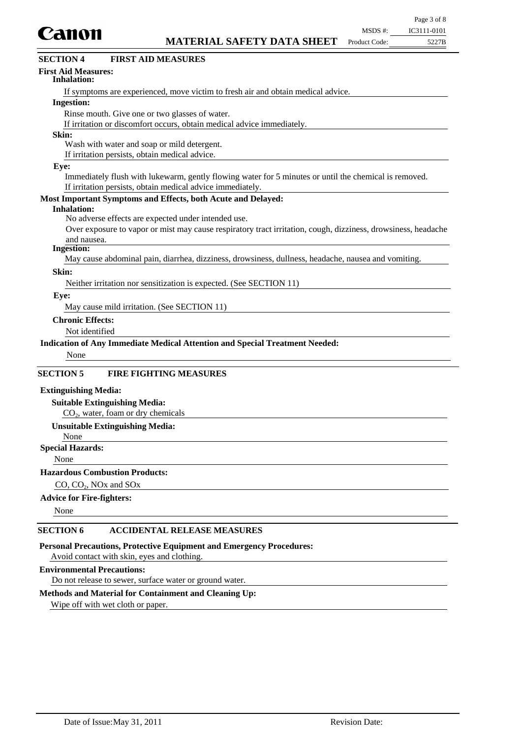

## **First Aid Measures:**

### **Inhalation:**

If symptoms are experienced, move victim to fresh air and obtain medical advice.

## **Ingestion:**

Rinse mouth. Give one or two glasses of water.

If irritation or discomfort occurs, obtain medical advice immediately.

## **Skin:**

Wash with water and soap or mild detergent.

If irritation persists, obtain medical advice.

#### **Eye:**

Immediately flush with lukewarm, gently flowing water for 5 minutes or until the chemical is removed. If irritation persists, obtain medical advice immediately.

## **Most Important Symptoms and Effects, both Acute and Delayed:**

#### **Inhalation:**

No adverse effects are expected under intended use.

Over exposure to vapor or mist may cause respiratory tract irritation, cough, dizziness, drowsiness, headache and nausea.

#### **Ingestion:**

May cause abdominal pain, diarrhea, dizziness, drowsiness, dullness, headache, nausea and vomiting.

## **Skin:**

Neither irritation nor sensitization is expected. (See SECTION 11)

#### **Eye:**

May cause mild irritation. (See SECTION 11)

## **Chronic Effects:**

Not identified

## **Indication of Any Immediate Medical Attention and Special Treatment Needed:**

None

## **SECTION 5 FIRE FIGHTING MEASURES**

## **Extinguishing Media:**

## **Suitable Extinguishing Media:**

 $CO<sub>2</sub>$ , water, foam or dry chemicals

## **Unsuitable Extinguishing Media:**

## None

## **Special Hazards:**

None

## **Hazardous Combustion Products:**

CO, CO<sub>2</sub>, NO<sub>x</sub> and SO<sub>x</sub>

## **Advice for Fire-fighters:**

None

## **SECTION 6 ACCIDENTAL RELEASE MEASURES**

**Personal Precautions, Protective Equipment and Emergency Procedures:**

Avoid contact with skin, eyes and clothing.

## **Environmental Precautions:**

Do not release to sewer, surface water or ground water.

## **Methods and Material for Containment and Cleaning Up:**

Wipe off with wet cloth or paper.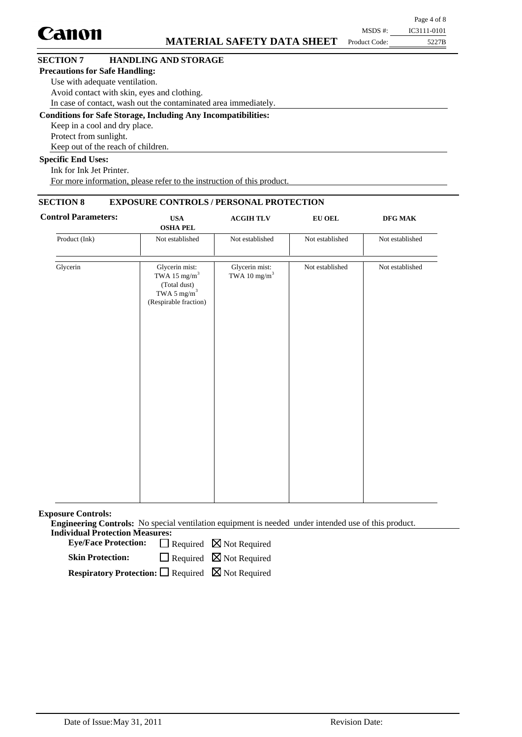| Canon                                 | <b>MATERIAL SAFETY DATA SHEET</b>                                    | MSDS #:<br>Product Code: | Page 4 of 8<br>IC3111-0101<br>5227B |
|---------------------------------------|----------------------------------------------------------------------|--------------------------|-------------------------------------|
| <b>SECTION 7</b>                      | <b>HANDLING AND STORAGE</b>                                          |                          |                                     |
| <b>Precautions for Safe Handling:</b> |                                                                      |                          |                                     |
| Use with adequate ventilation.        |                                                                      |                          |                                     |
|                                       | Avoid contact with skin, eyes and clothing.                          |                          |                                     |
|                                       | In case of contact, wash out the contaminated area immediately.      |                          |                                     |
|                                       | <b>Conditions for Safe Storage, Including Any Incompatibilities:</b> |                          |                                     |
| Keep in a cool and dry place.         |                                                                      |                          |                                     |
| Protect from sunlight.                |                                                                      |                          |                                     |
|                                       | Keep out of the reach of children.                                   |                          |                                     |
| <b>Specific End Uses:</b>             |                                                                      |                          |                                     |
| Ink for Ink Jet Printer.              |                                                                      |                          |                                     |

For more information, please refer to the instruction of this product.

## **SECTION 8 EXPOSURE CONTROLS / PERSONAL PROTECTION**

| <b>Control Parameters:</b> | <b>USA</b><br><b>OSHA PEL</b>                                                                                  | <b>ACGIH TLV</b>                           | <b>EU OEL</b>   | $\bf{DFG\;MAK}$ |
|----------------------------|----------------------------------------------------------------------------------------------------------------|--------------------------------------------|-----------------|-----------------|
| Product (Ink)              | Not established                                                                                                | Not established                            | Not established | Not established |
| Glycerin                   | Glycerin mist:<br>TWA 15 $\mathrm{mg/m}^3$<br>(Total dust)<br>TWA 5 mg/m <sup>3</sup><br>(Respirable fraction) | Glycerin mist:<br>TWA 10 $\mathrm{mg/m}^3$ | Not established | Not established |
|                            |                                                                                                                |                                            |                 |                 |

**Exposure Controls:**

**Engineering Controls:** No special ventilation equipment is needed under intended use of this product. **Individual Protection Measures:**

Eye/Face Protection:  $\Box$  Required  $\boxtimes$  Not Required

**Skin Protection:**

Required **N** Not Required

**Respiratory Protection:** □ Required △ Not Required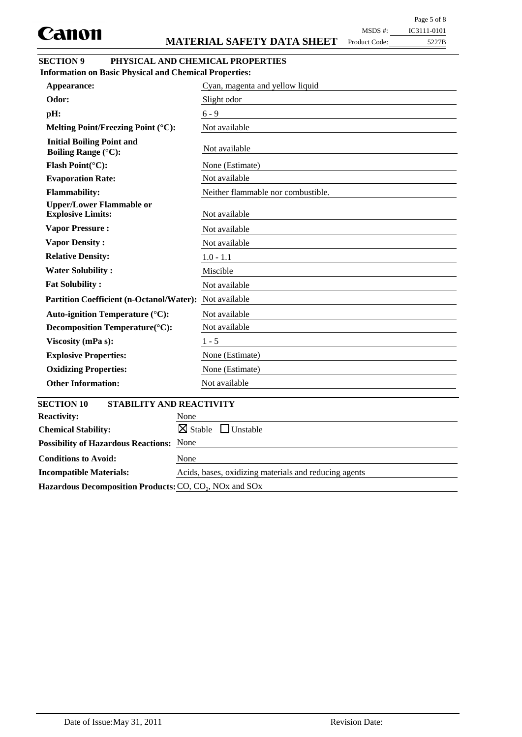$\overline{\phantom{a}}$ 

Product Code:

| MSDS #:   | IC3111-0101 |
|-----------|-------------|
| uct Code: | 5227B       |

# **SECTION 9 PHYSICAL AND CHEMICAL PROPERTIES**

**Information on Basic Physical and Chemical Properties:**

| Appearance:                                                    | Cyan, magenta and yellow liquid       |
|----------------------------------------------------------------|---------------------------------------|
| Odor:                                                          | Slight odor                           |
| pH:                                                            | $6 - 9$                               |
| Melting Point/Freezing Point (°C):                             | Not available                         |
| <b>Initial Boiling Point and</b><br><b>Boiling Range (°C):</b> | Not available                         |
| Flash Point(°C):                                               | None (Estimate)                       |
| <b>Evaporation Rate:</b>                                       | Not available                         |
| <b>Flammability:</b>                                           | Neither flammable nor combustible.    |
| <b>Upper/Lower Flammable or</b><br><b>Explosive Limits:</b>    | Not available                         |
| <b>Vapor Pressure:</b>                                         | Not available                         |
| <b>Vapor Density:</b>                                          | Not available                         |
| <b>Relative Density:</b>                                       | $1.0 - 1.1$                           |
| <b>Water Solubility:</b>                                       | Miscible                              |
| <b>Fat Solubility:</b>                                         | Not available                         |
| <b>Partition Coefficient (n-Octanol/Water):</b>                | Not available                         |
| Auto-ignition Temperature (°C):                                | Not available                         |
| Decomposition Temperature(°C):                                 | Not available                         |
| Viscosity (mPa s):                                             | $1 - 5$                               |
| <b>Explosive Properties:</b>                                   | None (Estimate)                       |
| <b>Oxidizing Properties:</b>                                   | None (Estimate)                       |
| <b>Other Information:</b>                                      | Not available                         |
| <b>SECTION 10</b><br>STABILITY AND REACTIVITY                  |                                       |
| <b>Reactivity:</b>                                             | None                                  |
| <b>Chemical Stability:</b>                                     | $\boxtimes$ Stable<br>$\Box$ Unstable |
| <b>Possibility of Hazardous Reactions:</b>                     | None                                  |
| <b>Conditions to Avoid:</b>                                    | None                                  |

**Incompatible Materials:** Acids, bases, oxidizing materials and reducing agents Hazardous Decomposition Products: CO, CO<sub>2</sub>, NO<sub>x</sub> and SO<sub>x</sub>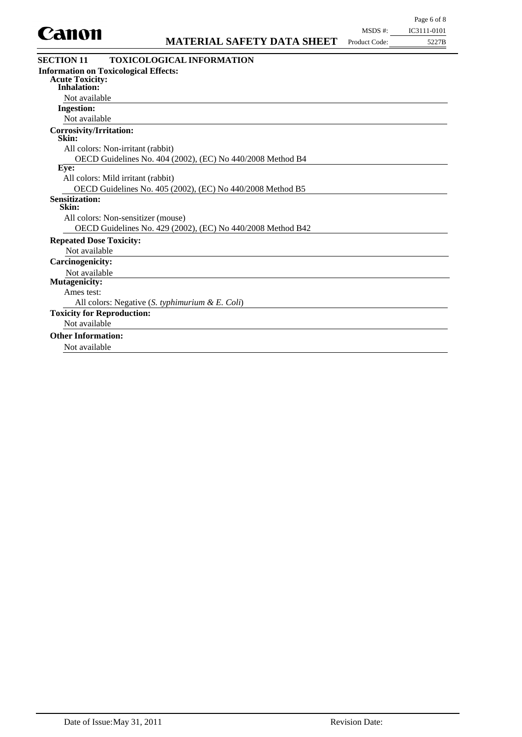

| .                                                                                            | <b>MATERIAL SAFETY DATA SHEET</b>                           | Product Code: | 5227B |
|----------------------------------------------------------------------------------------------|-------------------------------------------------------------|---------------|-------|
| <b>SECTION 11</b>                                                                            | <b>TOXICOLOGICAL INFORMATION</b>                            |               |       |
| <b>Information on Toxicological Effects:</b><br><b>Acute Toxicity:</b><br><b>Inhalation:</b> |                                                             |               |       |
| Not available                                                                                |                                                             |               |       |
| <b>Ingestion:</b>                                                                            |                                                             |               |       |
| Not available                                                                                |                                                             |               |       |
| <b>Corrosivity/Irritation:</b><br>Skin:                                                      |                                                             |               |       |
| All colors: Non-irritant (rabbit)                                                            |                                                             |               |       |
|                                                                                              | OECD Guidelines No. 404 (2002), (EC) No 440/2008 Method B4  |               |       |
| Eye:                                                                                         |                                                             |               |       |
| All colors: Mild irritant (rabbit)                                                           |                                                             |               |       |
|                                                                                              | OECD Guidelines No. 405 (2002), (EC) No 440/2008 Method B5  |               |       |
| <b>Sensitization:</b><br>Skin:                                                               |                                                             |               |       |
| All colors: Non-sensitizer (mouse)                                                           |                                                             |               |       |
|                                                                                              | OECD Guidelines No. 429 (2002), (EC) No 440/2008 Method B42 |               |       |
| <b>Repeated Dose Toxicity:</b>                                                               |                                                             |               |       |
| Not available                                                                                |                                                             |               |       |
| <b>Carcinogenicity:</b>                                                                      |                                                             |               |       |
| Not available                                                                                |                                                             |               |       |
| Mutagenicity:                                                                                |                                                             |               |       |
| Ames test:                                                                                   |                                                             |               |       |
|                                                                                              | All colors: Negative $(S.$ typhimurium & E. Coli)           |               |       |
| <b>Toxicity for Reproduction:</b>                                                            |                                                             |               |       |
| Not available                                                                                |                                                             |               |       |
| <b>Other Information:</b>                                                                    |                                                             |               |       |
| Not available                                                                                |                                                             |               |       |
|                                                                                              |                                                             |               |       |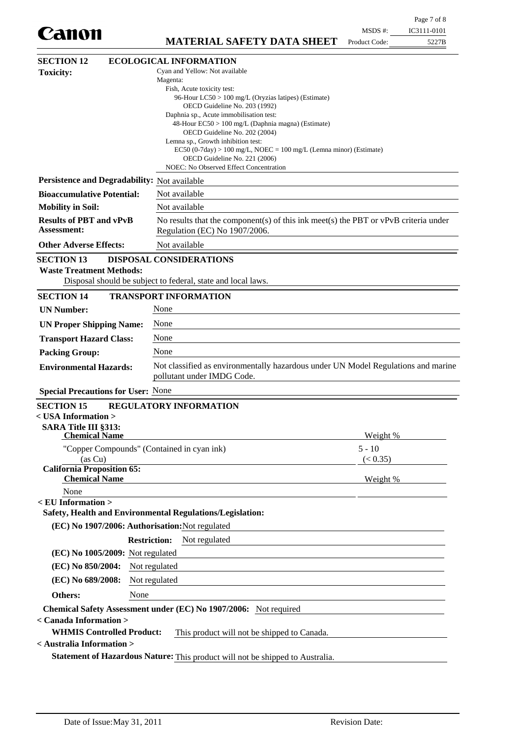|                                                     |                                                                                                     |  |               | Page 7 of 8 |
|-----------------------------------------------------|-----------------------------------------------------------------------------------------------------|--|---------------|-------------|
| Canon                                               | <b>MATERIAL SAFETY DATA SHEET</b>                                                                   |  | $MSDS$ #:     | IC3111-0101 |
|                                                     |                                                                                                     |  | Product Code: | 5227B       |
| <b>SECTION 12</b>                                   | <b>ECOLOGICAL INFORMATION</b>                                                                       |  |               |             |
| <b>Toxicity:</b>                                    | Cyan and Yellow: Not available<br>Magenta:                                                          |  |               |             |
|                                                     | Fish, Acute toxicity test:                                                                          |  |               |             |
|                                                     | 96-Hour LC50 > 100 mg/L (Oryzias latipes) (Estimate)<br>OECD Guideline No. 203 (1992)               |  |               |             |
|                                                     | Daphnia sp., Acute immobilisation test:                                                             |  |               |             |
|                                                     | 48-Hour EC50 > 100 mg/L (Daphnia magna) (Estimate)<br>OECD Guideline No. 202 (2004)                 |  |               |             |
|                                                     | Lemna sp., Growth inhibition test:                                                                  |  |               |             |
|                                                     | EC50 (0-7day) > 100 mg/L, NOEC = 100 mg/L (Lemna minor) (Estimate)<br>OECD Guideline No. 221 (2006) |  |               |             |
|                                                     | NOEC: No Observed Effect Concentration                                                              |  |               |             |
| Persistence and Degradability: Not available        |                                                                                                     |  |               |             |
| <b>Bioaccumulative Potential:</b>                   | Not available                                                                                       |  |               |             |
| <b>Mobility in Soil:</b>                            | Not available                                                                                       |  |               |             |
| <b>Results of PBT and vPvB</b>                      | No results that the component(s) of this ink meet(s) the PBT or vPvB criteria under                 |  |               |             |
| <b>Assessment:</b>                                  | Regulation (EC) No 1907/2006.                                                                       |  |               |             |
| <b>Other Adverse Effects:</b>                       | Not available                                                                                       |  |               |             |
| <b>SECTION 13</b>                                   | DISPOSAL CONSIDERATIONS                                                                             |  |               |             |
| <b>Waste Treatment Methods:</b>                     | Disposal should be subject to federal, state and local laws.                                        |  |               |             |
| <b>SECTION 14</b>                                   | <b>TRANSPORT INFORMATION</b>                                                                        |  |               |             |
| <b>UN Number:</b>                                   | None                                                                                                |  |               |             |
| <b>UN Proper Shipping Name:</b>                     | None                                                                                                |  |               |             |
| <b>Transport Hazard Class:</b>                      | None                                                                                                |  |               |             |
| <b>Packing Group:</b>                               | None                                                                                                |  |               |             |
| <b>Environmental Hazards:</b>                       | Not classified as environmentally hazardous under UN Model Regulations and marine                   |  |               |             |
|                                                     | pollutant under IMDG Code.                                                                          |  |               |             |
| <b>Special Precautions for User: None</b>           |                                                                                                     |  |               |             |
| <b>SECTION 15</b>                                   | REGULATORY INFORMATION                                                                              |  |               |             |
| < USA Information >                                 |                                                                                                     |  |               |             |
| <b>SARA Title III §313:</b><br><b>Chemical Name</b> |                                                                                                     |  | Weight %      |             |
|                                                     | "Copper Compounds" (Contained in cyan ink)                                                          |  | $5 - 10$      |             |
| (as Cu)                                             |                                                                                                     |  | (< 0.35)      |             |
| <b>California Proposition 65:</b>                   |                                                                                                     |  |               |             |
| <b>Chemical Name</b><br>None                        |                                                                                                     |  | Weight %      |             |
| $\le$ EU Information $>$                            |                                                                                                     |  |               |             |
|                                                     | Safety, Health and Environmental Regulations/Legislation:                                           |  |               |             |
|                                                     | (EC) No 1907/2006: Authorisation: Not regulated                                                     |  |               |             |
|                                                     | <b>Restriction:</b><br>Not regulated                                                                |  |               |             |
| (EC) No 1005/2009: Not regulated                    |                                                                                                     |  |               |             |
| (EC) No 850/2004:                                   | Not regulated                                                                                       |  |               |             |
| (EC) No 689/2008:                                   | Not regulated                                                                                       |  |               |             |
| Others:                                             | None                                                                                                |  |               |             |
|                                                     | Chemical Safety Assessment under (EC) No 1907/2006: Not required                                    |  |               |             |
| < Canada Information >                              |                                                                                                     |  |               |             |
| <b>WHMIS Controlled Product:</b>                    | This product will not be shipped to Canada.                                                         |  |               |             |
| < Australia Information >                           |                                                                                                     |  |               |             |
|                                                     | Statement of Hazardous Nature: This product will not be shipped to Australia.                       |  |               |             |